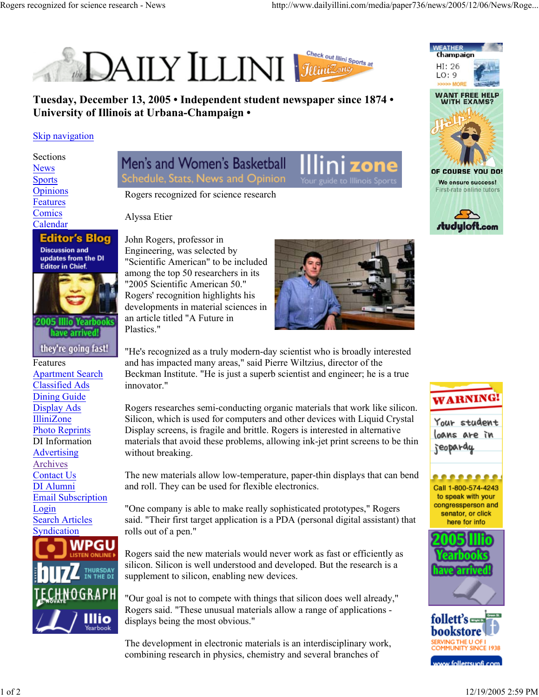

**Tuesday, December 13, 2005 • Independent student newspaper since 1874 • University of Illinois at Urbana-Champaign •**

## Skip navigation

Sections News Sports **Opinions** Features **Comics** Calendar

## **Editor's Blog**

**Discussion and** updates from the DI **Editor in Chief.** 



2005 Illio Yearb have arrived

they're going fast! Features Apartment Search Classified Ads Dining Guide Display Ads IlliniZone Photo Reprints DI Information Advertising Archives Contact Us DI Alumni Email Subscription Login Search Articles **Syndication** WPGU THURSDAY<br>IN THE DI **IOGRAPH** Illio

Men's and Women's Basketball Schedule, Stats, News and Opinion



Rogers recognized for science research

Alyssa Etier

John Rogers, professor in Engineering, was selected by "Scientific American" to be included among the top 50 researchers in its "2005 Scientific American 50." Rogers' recognition highlights his developments in material sciences in an article titled "A Future in Plastics."



"He's recognized as a truly modern-day scientist who is broadly interested and has impacted many areas," said Pierre Wiltzius, director of the Beckman Institute. "He is just a superb scientist and engineer; he is a true innovator."

Rogers researches semi-conducting organic materials that work like silicon. Silicon, which is used for computers and other devices with Liquid Crystal Display screens, is fragile and brittle. Rogers is interested in alternative materials that avoid these problems, allowing ink-jet print screens to be thin without breaking.

The new materials allow low-temperature, paper-thin displays that can bend and roll. They can be used for flexible electronics.

"One company is able to make really sophisticated prototypes," Rogers said. "Their first target application is a PDA (personal digital assistant) that rolls out of a pen."

Rogers said the new materials would never work as fast or efficiently as silicon. Silicon is well understood and developed. But the research is a supplement to silicon, enabling new devices.

"Our goal is not to compete with things that silicon does well already," Rogers said. "These unusual materials allow a range of applications displays being the most obvious."

The development in electronic materials is an interdisciplinary work, combining research in physics, chemistry and several branches of







Your student loans are in jeopardy